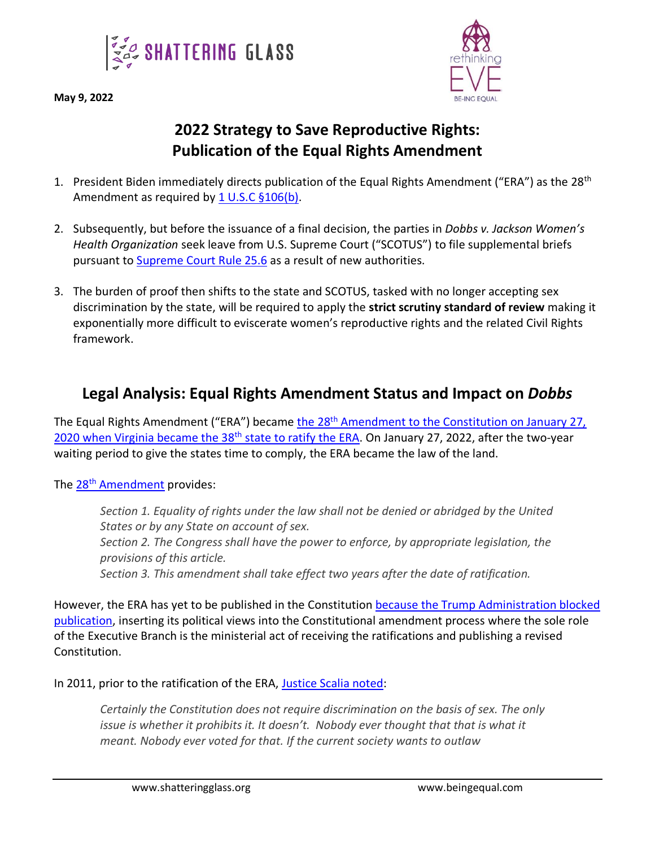



## **2022 Strategy to Save Reproductive Rights: Publication of the Equal Rights Amendment**

- 1. President Biden immediately directs publication of the Equal Rights Amendment ("ERA") as the 28<sup>th</sup> Amendment as required by [1 U.S.C §106\(b\).](https://www.govinfo.gov/content/pkg/USCODE-2009-title1/html/USCODE-2009-title1-chap2-sec106b.htm)
- 2. Subsequently, but before the issuance of a final decision, the parties in *Dobbs v. Jackson Women's Health Organization* seek leave from U.S. Supreme Court ("SCOTUS") to file supplemental briefs pursuant to [Supreme Court Rule 25.6](https://www.supremecourt.gov/filingandrules/2019RulesoftheCourt.pdf) as a result of new authorities.
- 3. The burden of proof then shifts to the state and SCOTUS, tasked with no longer accepting sex discrimination by the state, will be required to apply the **strict scrutiny standard of review** making it exponentially more difficult to eviscerate women's reproductive rights and the related Civil Rights framework.

## **Legal Analysis: Equal Rights Amendment Status and Impact on** *Dobbs*

The Equal Rights Amendment ("ERA") became the 28<sup>th</sup> Amendment to the Constitution on January 27, [2020 when Virginia became the 38](https://oversight.house.gov/sites/democrats.oversight.house.gov/files/ERA%2050th%20Anniversary%20%28Russ%20Feingold%20Letter%29.pdf)<sup>th</sup> state to ratify the ERA. On January 27, 2022, after the two-year waiting period to give the states time to comply, the ERA became the law of the land.

## The 28<sup>th</sup> [Amendment](https://www.govinfo.gov/content/pkg/STATUTE-86/pdf/STATUTE-86-Pg1523.pdf) provides:

*Section 1. Equality of rights under the law shall not be denied or abridged by the United States or by any State on account of sex. Section 2. The Congress shall have the power to enforce, by appropriate legislation, the provisions of this article. Section 3. This amendment shall take effect two years after the date of ratification.*

However, the ERA has yet to be published in the Constitution because [the Trump Administration blocked](https://www.justice.gov/olc/opinion/ratification-equal-rights-amendment)  [publication,](https://www.justice.gov/olc/opinion/ratification-equal-rights-amendment) inserting its political views into the Constitutional amendment process where the sole role of the Executive Branch is the ministerial act of receiving the ratifications and publishing a revised Constitution.

In 2011, prior to the ratification of the ERA, [Justice Scalia noted:](https://www.theatlantic.com/politics/archive/2011/01/scalia-says-constitution-doesn-t-protect-women-from-gender-discrimination/342789/)

*Certainly the Constitution does not require discrimination on the basis of sex. The only issue is whether it prohibits it. It doesn't. Nobody ever thought that that is what it meant. Nobody ever voted for that. If the current society wants to outlaw*